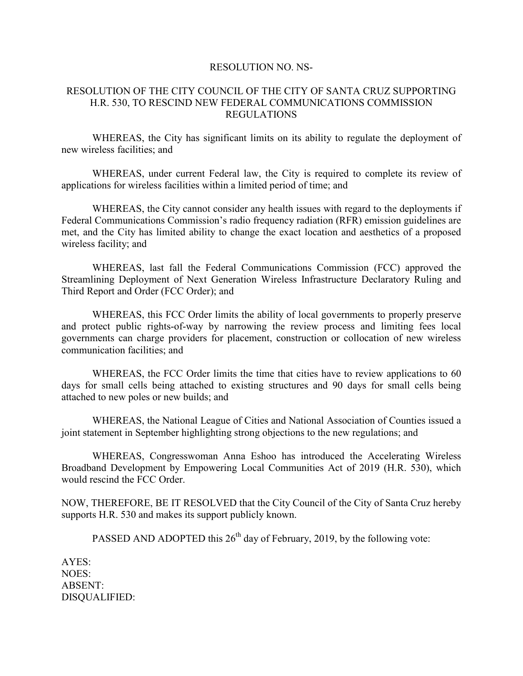## RESOLUTION NO. NS-

## RESOLUTION OF THE CITY COUNCIL OF THE CITY OF SANTA CRUZ SUPPORTING H.R. 530, TO RESCIND NEW FEDERAL COMMUNICATIONS COMMISSION REGULATIONS

WHEREAS, the City has significant limits on its ability to regulate the deployment of new wireless facilities; and

WHEREAS, under current Federal law, the City is required to complete its review of applications for wireless facilities within a limited period of time; and

WHEREAS, the City cannot consider any health issues with regard to the deployments if Federal Communications Commission's radio frequency radiation (RFR) emission guidelines are met, and the City has limited ability to change the exact location and aesthetics of a proposed wireless facility; and

WHEREAS, last fall the Federal Communications Commission (FCC) approved the Streamlining Deployment of Next Generation Wireless Infrastructure Declaratory Ruling and Third Report and Order (FCC Order); and

WHEREAS, this FCC Order limits the ability of local governments to properly preserve and protect public rights-of-way by narrowing the review process and limiting fees local governments can charge providers for placement, construction or collocation of new wireless communication facilities; and

WHEREAS, the FCC Order limits the time that cities have to review applications to 60 days for small cells being attached to existing structures and 90 days for small cells being attached to new poles or new builds; and

WHEREAS, the National League of Cities and National Association of Counties issued a joint statement in September highlighting strong objections to the new regulations; and

WHEREAS, Congresswoman Anna Eshoo has introduced the Accelerating Wireless Broadband Development by Empowering Local Communities Act of 2019 (H.R. 530), which would rescind the FCC Order.

NOW, THEREFORE, BE IT RESOLVED that the City Council of the City of Santa Cruz hereby supports H.R. 530 and makes its support publicly known.

PASSED AND ADOPTED this  $26<sup>th</sup>$  day of February, 2019, by the following vote:

AYES: NOES: ABSENT: DISQUALIFIED: